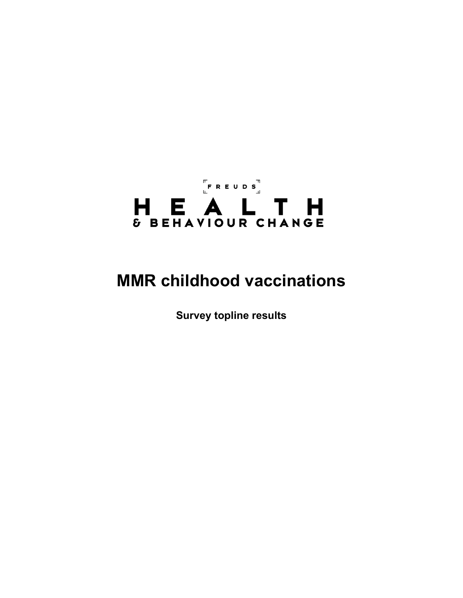# FREUDS<br>LEREUDS H E A L T H

# **MMR childhood vaccinations**

**Survey topline results**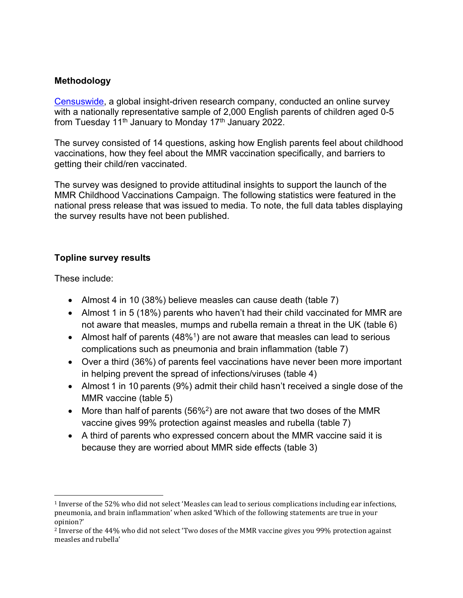#### **Methodology**

[Censuswide,](https://censuswide.com/) a global insight-driven research company, conducted an online survey with a nationally representative sample of 2,000 English parents of children aged 0-5 from Tuesday  $11<sup>th</sup>$  January to Monday  $17<sup>th</sup>$  January 2022.

The survey consisted of 14 questions, asking how English parents feel about childhood vaccinations, how they feel about the MMR vaccination specifically, and barriers to getting their child/ren vaccinated.

The survey was designed to provide attitudinal insights to support the launch of the MMR Childhood Vaccinations Campaign. The following statistics were featured in the national press release that was issued to media. To note, the full data tables displaying the survey results have not been published.

## **Topline survey results**

These include:

- Almost 4 in 10 (38%) believe measles can cause death (table 7)
- Almost 1 in 5 (18%) parents who haven't had their child vaccinated for MMR are not aware that measles, mumps and rubella remain a threat in the UK (table 6)
- Almost half of parents (48%<sup>1</sup>) are not aware that measles can lead to serious complications such as pneumonia and brain inflammation (table 7)
- Over a third (36%) of parents feel vaccinations have never been more important in helping prevent the spread of infections/viruses (table 4)
- Almost 1 in 10 parents (9%) admit their child hasn't received a single dose of the MMR vaccine (table 5)
- More than half of parents (56%<sup>2</sup>) are not aware that two doses of the MMR vaccine gives 99% protection against measles and rubella (table 7)
- A third of parents who expressed concern about the MMR vaccine said it is because they are worried about MMR side effects (table 3)

<sup>1</sup> Inverse of the 52% who did not select 'Measles can lead to serious complications including ear infections, pneumonia, and brain inflammation' when asked 'Which of the following statements are true in your opinion?'

<sup>2</sup> Inverse of the 44% who did not select 'Two doses of the MMR vaccine gives you 99% protection against measles and rubella'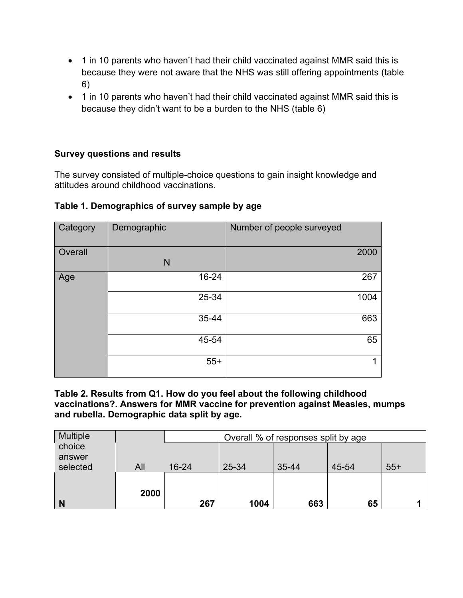- 1 in 10 parents who haven't had their child vaccinated against MMR said this is because they were not aware that the NHS was still offering appointments (table 6)
- 1 in 10 parents who haven't had their child vaccinated against MMR said this is because they didn't want to be a burden to the NHS (table 6)

#### **Survey questions and results**

The survey consisted of multiple-choice questions to gain insight knowledge and attitudes around childhood vaccinations.

| Category | Demographic | Number of people surveyed |
|----------|-------------|---------------------------|
| Overall  | N           | 2000                      |
| Age      | 16-24       | 267                       |
|          | 25-34       | 1004                      |
|          | 35-44       | 663                       |
|          | 45-54       | 65                        |
|          | $55+$       |                           |

#### **Table 1. Demographics of survey sample by age**

**Table 2. Results from Q1. How do you feel about the following childhood vaccinations?. Answers for MMR vaccine for prevention against Measles, mumps and rubella. Demographic data split by age.**

| <b>Multiple</b>    |      |           |       | Overall % of responses split by age |       |       |
|--------------------|------|-----------|-------|-------------------------------------|-------|-------|
| choice             |      |           |       |                                     |       |       |
| answer<br>selected | All  | $16 - 24$ | 25-34 | 35-44                               | 45-54 | $55+$ |
|                    |      |           |       |                                     |       |       |
|                    | 2000 |           |       |                                     |       |       |
| N                  |      | 267       | 1004  | 663                                 | 65    |       |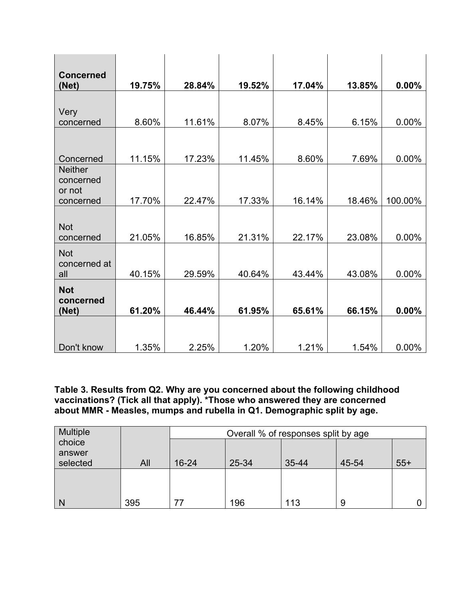| <b>Concerned</b><br>(Net)             | 19.75% | 28.84% | 19.52% | 17.04% | 13.85% | 0.00%   |
|---------------------------------------|--------|--------|--------|--------|--------|---------|
|                                       |        |        |        |        |        |         |
| Very                                  |        |        |        |        |        |         |
| concerned                             | 8.60%  | 11.61% | 8.07%  | 8.45%  | 6.15%  | 0.00%   |
|                                       |        |        |        |        |        |         |
| Concerned                             | 11.15% | 17.23% | 11.45% | 8.60%  | 7.69%  | 0.00%   |
| <b>Neither</b><br>concerned<br>or not |        |        |        |        |        |         |
| concerned                             | 17.70% | 22.47% | 17.33% | 16.14% | 18.46% | 100.00% |
| <b>Not</b><br>concerned               | 21.05% | 16.85% | 21.31% | 22.17% | 23.08% | 0.00%   |
| <b>Not</b><br>concerned at            |        |        |        |        |        |         |
| all                                   | 40.15% | 29.59% | 40.64% | 43.44% | 43.08% | 0.00%   |
| <b>Not</b><br>concerned               |        |        |        |        |        |         |
| (Net)                                 | 61.20% | 46.44% | 61.95% | 65.61% | 66.15% | 0.00%   |
|                                       |        |        |        |        |        |         |
| Don't know                            | 1.35%  | 2.25%  | 1.20%  | 1.21%  | 1.54%  | 0.00%   |

**Table 3. Results from Q2. Why are you concerned about the following childhood vaccinations? (Tick all that apply). \*Those who answered they are concerned about MMR - Measles, mumps and rubella in Q1. Demographic split by age.**

| <b>Multiple</b>  |     |       |       | Overall % of responses split by age |       |       |
|------------------|-----|-------|-------|-------------------------------------|-------|-------|
| choice<br>answer |     |       |       |                                     |       |       |
| selected         | All | 16-24 | 25-34 | 35-44                               | 45-54 | $55+$ |
|                  |     |       |       |                                     |       |       |
| N                | 395 |       | 196   | 113                                 | 9     |       |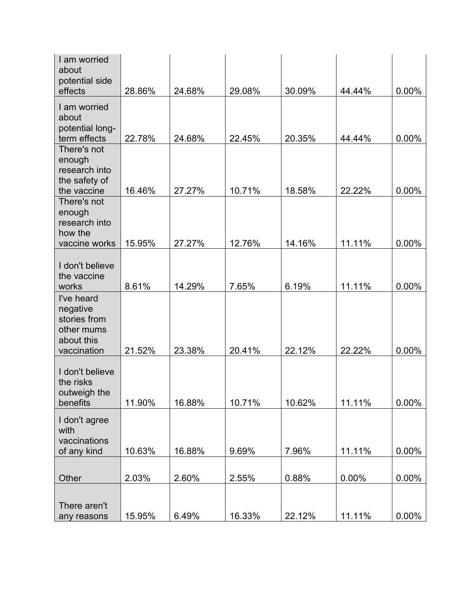| I am worried<br>about                                                             |        |        |        |        |        |       |
|-----------------------------------------------------------------------------------|--------|--------|--------|--------|--------|-------|
| potential side                                                                    |        |        |        |        |        |       |
| effects                                                                           | 28.86% | 24.68% | 29.08% | 30.09% | 44.44% | 0.00% |
| I am worried<br>about<br>potential long-                                          |        |        |        |        |        |       |
| term effects                                                                      | 22.78% | 24.68% | 22.45% | 20.35% | 44.44% | 0.00% |
| There's not<br>enough<br>research into<br>the safety of                           |        |        |        |        |        |       |
| the vaccine                                                                       | 16.46% | 27.27% | 10.71% | 18.58% | 22.22% | 0.00% |
| There's not<br>enough<br>research into<br>how the                                 |        |        |        |        |        |       |
| vaccine works                                                                     | 15.95% | 27.27% | 12.76% | 14.16% | 11.11% | 0.00% |
| I don't believe<br>the vaccine                                                    |        |        |        |        |        |       |
| works                                                                             | 8.61%  | 14.29% | 7.65%  | 6.19%  | 11.11% | 0.00% |
| I've heard<br>negative<br>stories from<br>other mums<br>about this<br>vaccination | 21.52% | 23.38% | 20.41% | 22.12% | 22.22% | 0.00% |
| I don't believe<br>the risks<br>outweigh the<br>benefits                          | 11.90% | 16.88% | 10.71% | 10.62% | 11.11% | 0.00% |
| I don't agree<br>with<br>vaccinations                                             |        |        |        |        |        |       |
| of any kind                                                                       | 10.63% | 16.88% | 9.69%  | 7.96%  | 11.11% | 0.00% |
|                                                                                   |        |        |        |        |        |       |
| Other                                                                             | 2.03%  | 2.60%  | 2.55%  | 0.88%  | 0.00%  | 0.00% |
| There aren't                                                                      |        |        |        |        |        |       |
| any reasons                                                                       | 15.95% | 6.49%  | 16.33% | 22.12% | 11.11% | 0.00% |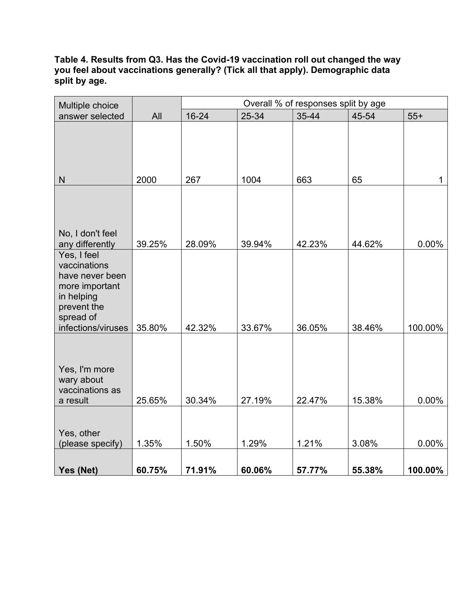#### **Table 4. Results from Q3. Has the Covid-19 vaccination roll out changed the way you feel about vaccinations generally? (Tick all that apply). Demographic data split by age.**

| Multiple choice                                                                                            |        |        |        | Overall % of responses split by age |        |         |
|------------------------------------------------------------------------------------------------------------|--------|--------|--------|-------------------------------------|--------|---------|
| answer selected                                                                                            | All    | 16-24  | 25-34  | 35-44                               | 45-54  | $55+$   |
|                                                                                                            |        |        |        |                                     |        |         |
| ${\sf N}$                                                                                                  | 2000   | 267    | 1004   | 663                                 | 65     | 1       |
| No, I don't feel<br>any differently                                                                        | 39.25% | 28.09% | 39.94% | 42.23%                              | 44.62% | 0.00%   |
| Yes, I feel<br>vaccinations<br>have never been<br>more important<br>in helping<br>prevent the<br>spread of |        |        |        |                                     |        |         |
| infections/viruses                                                                                         | 35.80% | 42.32% | 33.67% | 36.05%                              | 38.46% | 100.00% |
| Yes, I'm more<br>wary about<br>vaccinations as<br>a result                                                 | 25.65% | 30.34% | 27.19% | 22.47%                              | 15.38% | 0.00%   |
|                                                                                                            |        |        |        |                                     |        |         |
| Yes, other<br>(please specify)                                                                             | 1.35%  | 1.50%  | 1.29%  | 1.21%                               | 3.08%  | 0.00%   |
| Yes (Net)                                                                                                  | 60.75% | 71.91% | 60.06% | 57.77%                              | 55.38% | 100.00% |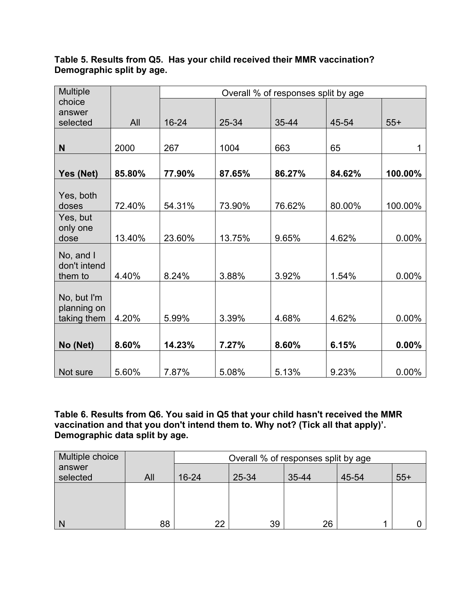## **Table 5. Results from Q5. Has your child received their MMR vaccination? Demographic split by age.**

| <b>Multiple</b>            |        |        |        | Overall % of responses split by age |        |         |
|----------------------------|--------|--------|--------|-------------------------------------|--------|---------|
| choice                     |        |        |        |                                     |        |         |
| answer                     |        |        |        |                                     |        |         |
| selected                   | All    | 16-24  | 25-34  | 35-44                               | 45-54  | $55+$   |
|                            |        |        |        |                                     |        |         |
| N                          | 2000   | 267    | 1004   | 663                                 | 65     |         |
|                            |        |        |        |                                     |        |         |
| Yes (Net)                  | 85.80% | 77.90% | 87.65% | 86.27%                              | 84.62% | 100.00% |
| Yes, both                  |        |        |        |                                     |        |         |
| doses                      | 72.40% | 54.31% | 73.90% | 76.62%                              | 80.00% | 100.00% |
| Yes, but                   |        |        |        |                                     |        |         |
| only one                   |        |        |        |                                     |        |         |
| dose                       | 13.40% | 23.60% | 13.75% | 9.65%                               | 4.62%  | 0.00%   |
| No, and I                  |        |        |        |                                     |        |         |
| don't intend               |        |        |        |                                     |        |         |
| them to                    | 4.40%  | 8.24%  | 3.88%  | 3.92%                               | 1.54%  | 0.00%   |
|                            |        |        |        |                                     |        |         |
| No, but I'm<br>planning on |        |        |        |                                     |        |         |
| taking them                | 4.20%  | 5.99%  | 3.39%  | 4.68%                               | 4.62%  | 0.00%   |
|                            |        |        |        |                                     |        |         |
|                            |        |        |        |                                     |        |         |
| No (Net)                   | 8.60%  | 14.23% | 7.27%  | 8.60%                               | 6.15%  | 0.00%   |
|                            |        |        |        |                                     |        |         |
| Not sure                   | 5.60%  | 7.87%  | 5.08%  | 5.13%                               | 9.23%  | 0.00%   |

**Table 6. Results from Q6. You said in Q5 that your child hasn't received the MMR vaccination and that you don't intend them to. Why not? (Tick all that apply)'. Demographic data split by age.**

| Multiple choice |     |           | Overall % of responses split by age |           |       |       |
|-----------------|-----|-----------|-------------------------------------|-----------|-------|-------|
| answer          |     |           |                                     |           |       |       |
| selected        | All | $16 - 24$ | 25-34                               | $35 - 44$ | 45-54 | $55+$ |
|                 |     |           |                                     |           |       |       |
|                 |     |           |                                     |           |       |       |
|                 |     |           |                                     |           |       |       |
|                 | 88  | クク        | 39                                  | 26        |       |       |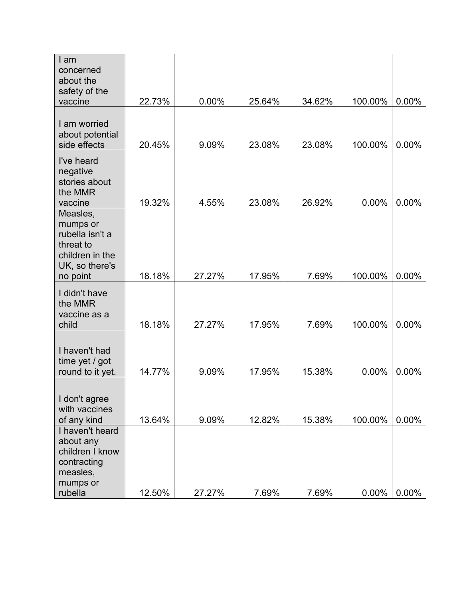| I am<br>concerned                                                                                     |        |        |        |        |         |          |
|-------------------------------------------------------------------------------------------------------|--------|--------|--------|--------|---------|----------|
| about the<br>safety of the                                                                            |        |        |        |        |         |          |
| vaccine                                                                                               | 22.73% | 0.00%  | 25.64% | 34.62% | 100.00% | 0.00%    |
| I am worried<br>about potential<br>side effects                                                       | 20.45% | 9.09%  | 23.08% | 23.08% | 100.00% | 0.00%    |
| I've heard<br>negative<br>stories about<br>the MMR<br>vaccine                                         | 19.32% | 4.55%  | 23.08% | 26.92% | 0.00%   | 0.00%    |
| Measles,<br>mumps or<br>rubella isn't a<br>threat to<br>children in the<br>UK, so there's<br>no point | 18.18% | 27.27% | 17.95% | 7.69%  | 100.00% | 0.00%    |
| I didn't have<br>the MMR<br>vaccine as a                                                              |        |        |        |        |         |          |
| child                                                                                                 | 18.18% | 27.27% | 17.95% | 7.69%  | 100.00% | 0.00%    |
| I haven't had<br>time yet / got<br>round to it yet.                                                   | 14.77% | 9.09%  | 17.95% | 15.38% | 0.00%   | 0.00%    |
| I don't agree<br>with vaccines<br>of any kind                                                         | 13.64% | 9.09%  | 12.82% | 15.38% | 100.00% | 0.00%    |
| I haven't heard<br>about any<br>children I know<br>contracting<br>measles,                            |        |        |        |        |         |          |
| mumps or<br>rubella                                                                                   | 12.50% | 27.27% | 7.69%  | 7.69%  | 0.00%   | $0.00\%$ |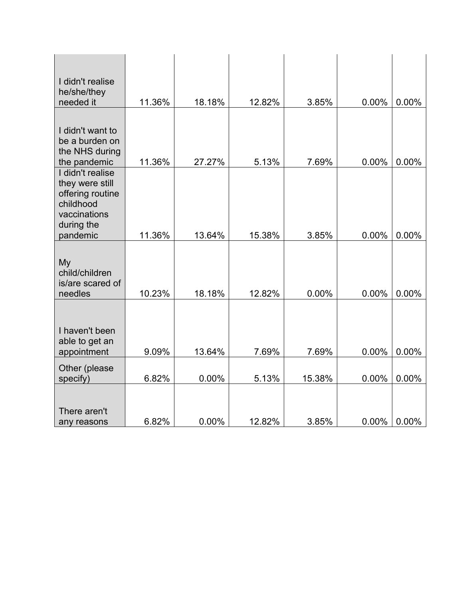| I didn't realise<br>he/she/they<br>needed it                                                                   | 11.36% | 18.18% | 12.82% | 3.85%  | 0.00% | $0.00\%$ |
|----------------------------------------------------------------------------------------------------------------|--------|--------|--------|--------|-------|----------|
|                                                                                                                |        |        |        |        |       |          |
| I didn't want to<br>be a burden on<br>the NHS during<br>the pandemic                                           | 11.36% | 27.27% | 5.13%  | 7.69%  | 0.00% | 0.00%    |
| I didn't realise<br>they were still<br>offering routine<br>childhood<br>vaccinations<br>during the<br>pandemic | 11.36% | 13.64% | 15.38% | 3.85%  | 0.00% | $0.00\%$ |
| My<br>child/children<br>is/are scared of<br>needles                                                            | 10.23% | 18.18% | 12.82% | 0.00%  | 0.00% | 0.00%    |
| I haven't been<br>able to get an<br>appointment                                                                | 9.09%  | 13.64% | 7.69%  | 7.69%  | 0.00% | 0.00%    |
| Other (please<br>specify)                                                                                      | 6.82%  | 0.00%  | 5.13%  | 15.38% | 0.00% | $0.00\%$ |
| There aren't<br>any reasons                                                                                    | 6.82%  | 0.00%  | 12.82% | 3.85%  | 0.00% | $0.00\%$ |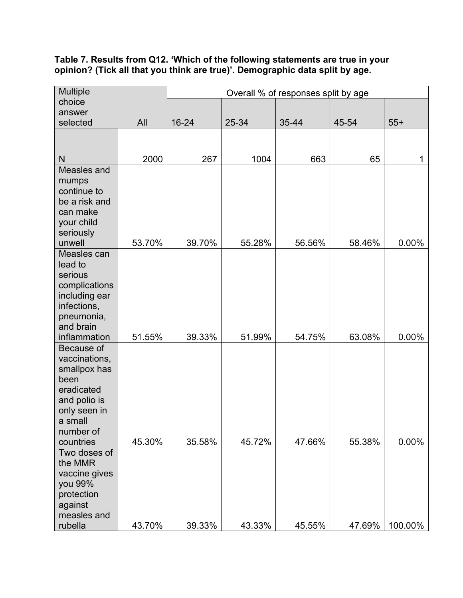#### **Table 7. Results from Q12. 'Which of the following statements are true in your opinion? (Tick all that you think are true)'. Demographic data split by age.**

|      | Overall % of responses split by age         |                                               |                                               |                                               |                                               |
|------|---------------------------------------------|-----------------------------------------------|-----------------------------------------------|-----------------------------------------------|-----------------------------------------------|
|      |                                             |                                               |                                               |                                               |                                               |
|      |                                             |                                               |                                               |                                               |                                               |
|      |                                             |                                               |                                               |                                               | $55+$                                         |
|      |                                             |                                               |                                               |                                               |                                               |
| 2000 | 267                                         | 1004                                          | 663                                           | 65                                            | 1                                             |
|      |                                             |                                               |                                               |                                               |                                               |
|      |                                             |                                               |                                               |                                               | 0.00%                                         |
|      |                                             |                                               |                                               |                                               |                                               |
|      |                                             |                                               |                                               |                                               | 0.00%                                         |
|      |                                             |                                               |                                               |                                               |                                               |
|      |                                             |                                               |                                               |                                               | 0.00%                                         |
|      |                                             |                                               |                                               |                                               | 100.00%                                       |
|      | All<br>53.70%<br>51.55%<br>45.30%<br>43.70% | 16-24<br>39.70%<br>39.33%<br>35.58%<br>39.33% | 25-34<br>55.28%<br>51.99%<br>45.72%<br>43.33% | 35-44<br>56.56%<br>54.75%<br>47.66%<br>45.55% | 45-54<br>58.46%<br>63.08%<br>55.38%<br>47.69% |